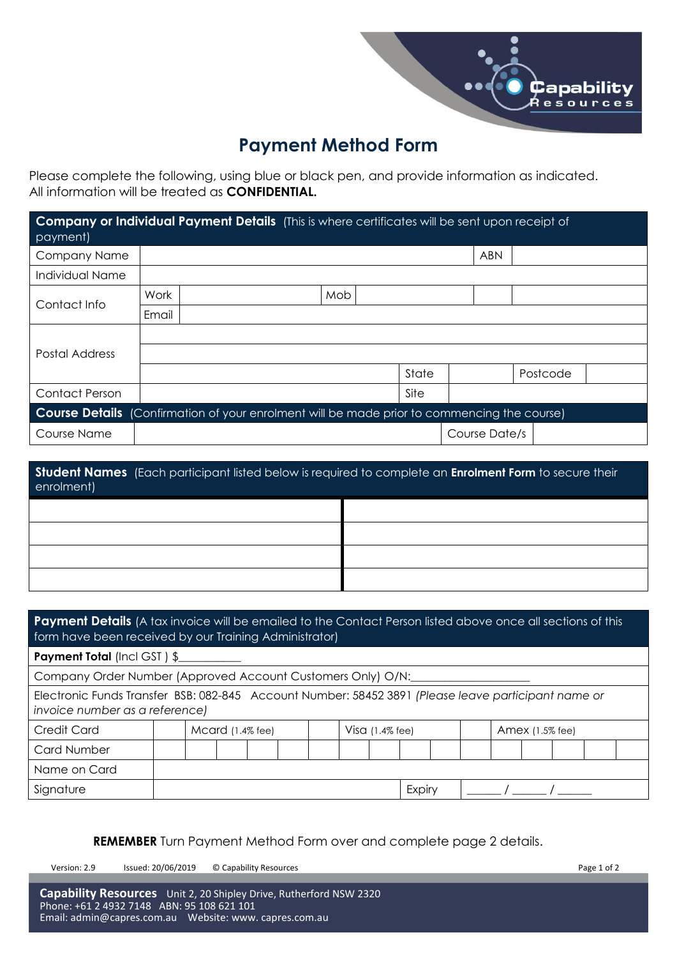

# **Payment Method Form**

Please complete the following, using blue or black pen, and provide information as indicated. All information will be treated as **CONFIDENTIAL.**

| Company or Individual Payment Details (This is where certificates will be sent upon receipt of<br>payment) |       |  |     |  |       |               |          |  |
|------------------------------------------------------------------------------------------------------------|-------|--|-----|--|-------|---------------|----------|--|
| Company Name                                                                                               |       |  |     |  |       | <b>ABN</b>    |          |  |
| Individual Name                                                                                            |       |  |     |  |       |               |          |  |
| Contact Info                                                                                               | Work  |  | Mob |  |       |               |          |  |
|                                                                                                            | Email |  |     |  |       |               |          |  |
| Postal Address                                                                                             |       |  |     |  |       |               |          |  |
|                                                                                                            |       |  |     |  |       |               |          |  |
|                                                                                                            |       |  |     |  | State |               | Postcode |  |
| <b>Contact Person</b>                                                                                      |       |  |     |  | Site  |               |          |  |
| <b>Course Details</b> (Confirmation of your enrolment will be made prior to commencing the course)         |       |  |     |  |       |               |          |  |
| Course Name                                                                                                |       |  |     |  |       | Course Date/s |          |  |

| Student Names (Each participant listed below is required to complete an Enrolment Form to secure their<br>enrolment) |  |  |  |  |  |  |  |
|----------------------------------------------------------------------------------------------------------------------|--|--|--|--|--|--|--|
|                                                                                                                      |  |  |  |  |  |  |  |
|                                                                                                                      |  |  |  |  |  |  |  |
|                                                                                                                      |  |  |  |  |  |  |  |
|                                                                                                                      |  |  |  |  |  |  |  |

| <b>Payment Details</b> (A tax invoice will be emailed to the Contact Person listed above once all sections of this<br>form have been received by our Training Administrator) |                  |                    |        |                 |  |  |  |  |
|------------------------------------------------------------------------------------------------------------------------------------------------------------------------------|------------------|--------------------|--------|-----------------|--|--|--|--|
| <b>Payment Total (Incl GST) \$___________</b>                                                                                                                                |                  |                    |        |                 |  |  |  |  |
| Company Order Number (Approved Account Customers Only) O/N:                                                                                                                  |                  |                    |        |                 |  |  |  |  |
| Electronic Funds Transfer BSB: 082-845 Account Number: 58452 3891 (Please leave participant name or<br>invoice number as a reference)                                        |                  |                    |        |                 |  |  |  |  |
| <b>Credit Card</b>                                                                                                                                                           | Mcard (1.4% fee) | Visa $(1.4\%$ fee) |        | Amex (1.5% fee) |  |  |  |  |
| <b>Card Number</b>                                                                                                                                                           |                  |                    |        |                 |  |  |  |  |
| Name on Card                                                                                                                                                                 |                  |                    |        |                 |  |  |  |  |
| Signature                                                                                                                                                                    |                  |                    | Expiry |                 |  |  |  |  |

**REMEMBER** Turn Payment Method Form over and complete page 2 details.

Version: 2.9 Issued: 20/06/2019 © Capability Resources Page 1 of 2

**Capability Resources** Unit 2, 20 Shipley Drive, Rutherford NSW 2320 Phone: +61 2 4932 7148 ABN: 95 108 621 101 Email: [admin@capres.com.au](mailto:admin@capres.com.au) Website: www. capres.com.au